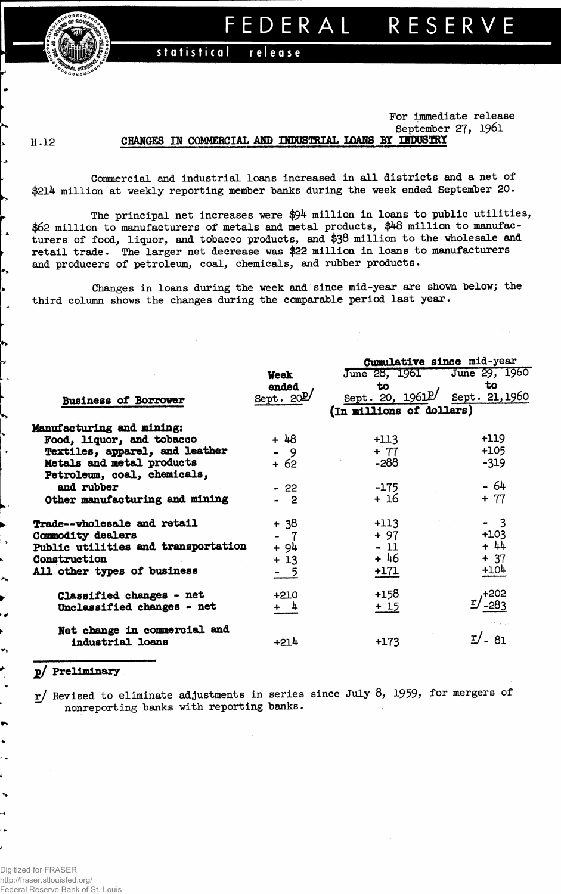

statistical release

**For Immediate release September 27, 1961**

## **H .12**

 $\overline{a}$ 

**CBARGES IN COMMERCIAL AM? DTOUSTRIAL LOANS BY OPPSTRY**

**Commercial and industrial loans increased in all districts and a net of \$214 million at weekly reporting member banks during the week ended September 20.**

**The principal net increases were \$94 million in loans to public utilities, \$62 million to manufacturers of metals and metal products, \$48 million to manufacturers of food, liquor, and tobacco products, and \$38 million to the wholesale and retail trade. The larger net decrease was \$22 million in loans to manufacturers and producers of petroleum, coal, chemicals, and rubber products.**

**Changes in loans during the week and since mid-year are shown below; the third column shows the changes during the comparable period last year.**

|                                     |             | Cumulative since mid-year |                   |  |  |  |  |
|-------------------------------------|-------------|---------------------------|-------------------|--|--|--|--|
|                                     | <b>Week</b> | June 28, 1961             | June 29, 1960     |  |  |  |  |
|                                     | ended       | to                        | to                |  |  |  |  |
| <b>Business of Borrower</b>         | Sept. $20E$ | Sept. 20, 1961            | Sept. 21, 1960    |  |  |  |  |
|                                     |             | (In millions of dollars)  |                   |  |  |  |  |
| Manufacturing and mining:           |             |                           |                   |  |  |  |  |
| Food, liquor, and tobacco           | $+48$       | $+113$                    | +119              |  |  |  |  |
| Textiles, apparel, and leather      | - 9         | $+ 77$                    | $+105$            |  |  |  |  |
| Metals and metal products           | + 62        | $-288$                    | $-319$            |  |  |  |  |
| Petroleum, coal, chemicals,         |             |                           |                   |  |  |  |  |
| and rubber                          | $-22$       | $-175$                    | $-64$             |  |  |  |  |
| Other manufacturing and mining      | $-2$        | + 16                      | $+ 77$            |  |  |  |  |
| Trade--wholesale and retail         | $+38$       | $+113$                    | $-3$              |  |  |  |  |
| Commodity dealers                   | - 7         | $+97$                     | $+103$            |  |  |  |  |
| Public utilities and transportation | + 94        | $-11$                     | $+ 44$            |  |  |  |  |
| Construction                        | $+13$       | $+46$                     | $+37$             |  |  |  |  |
| All other types of business         | - 5         | $+171$                    | $+104$            |  |  |  |  |
| Classified changes - net            | $+210$      | $+158$                    | +202              |  |  |  |  |
| Unclassified changes - net          | $+$ 4       | $+15$                     | 283               |  |  |  |  |
| Net change in commercial and        |             |                           |                   |  |  |  |  |
| industrial loans                    | $+214$      | $+173$                    | $\mathbf{r}$ . 81 |  |  |  |  |

## **jd/ Preliminary**

٠

**r/ Revised to eliminate adjustments in series since July 8, 1959, for mergers of nonreporting banks with reporting banks.**